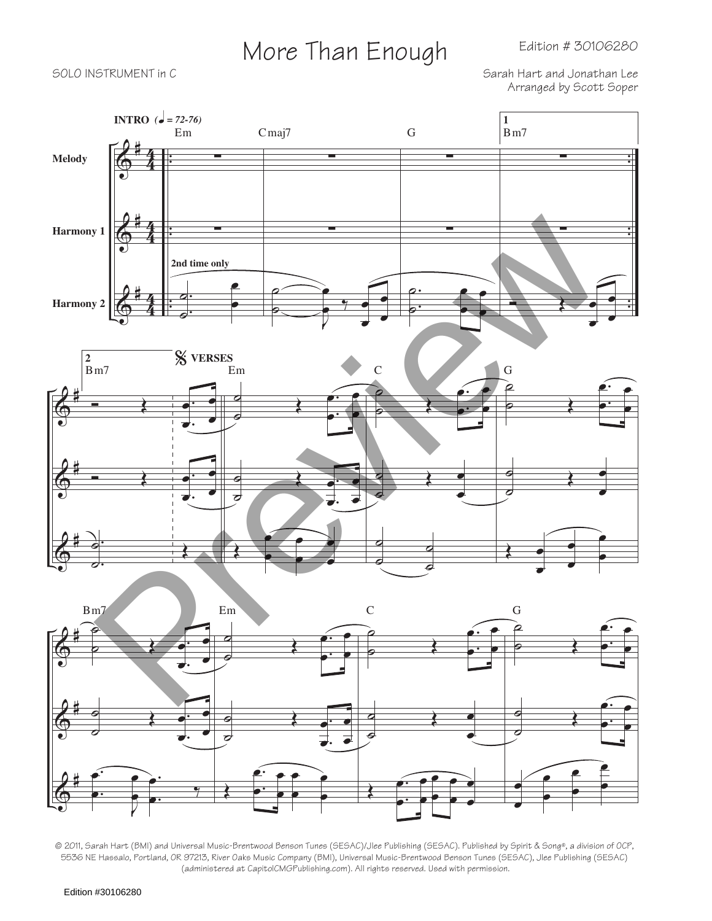## More Than Enough Edition # 30106280

Sarah Hart and Jonathan Lee Arranged by Scott Soper







© 2011, Sarah Hart (BMI) and Universal Music-Brentwood Benson Tunes (SESAC)/Jlee Publishing (SESAC). Published by Spirit & Song®, a division of OCP, 5536 NE Hassalo, Portland, OR 97213, River Oaks Music Company (BMI), Universal Music-Brentwood Benson Tunes (SESAC), Jlee Publishing (SESAC) (administered at CapitolCMGPublishing.com). All rights reserved. Used with permission.

Edition #30106280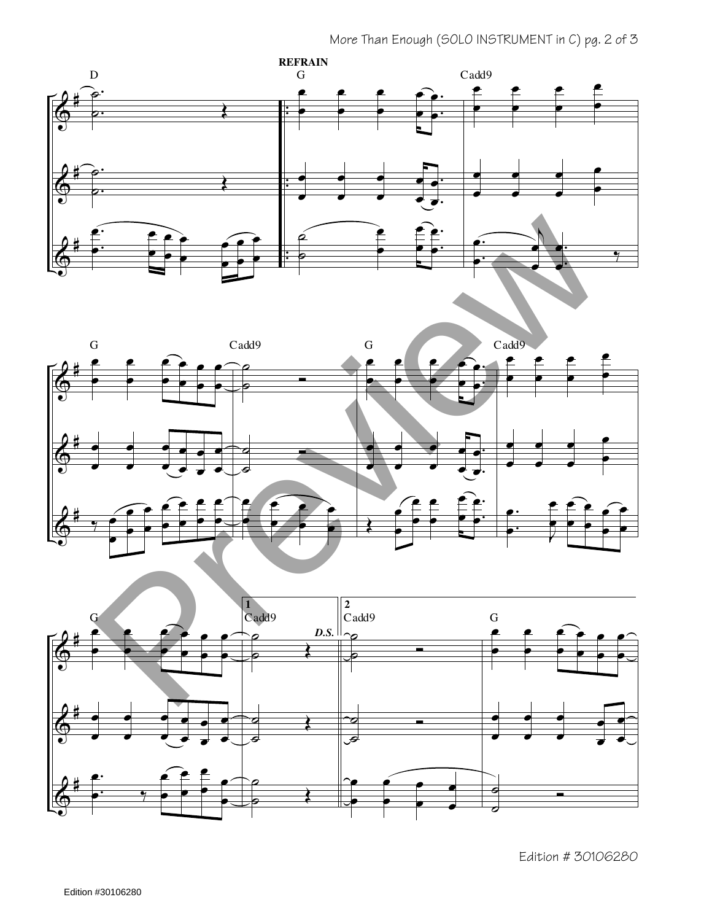





Edition # 30106280